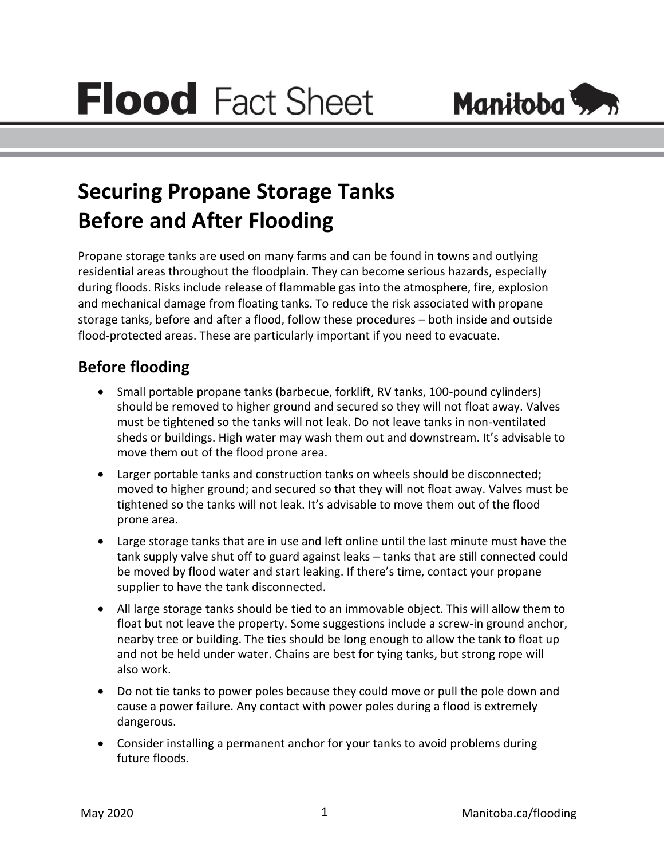

## **Securing Propane Storage Tanks Before and After Flooding**

Propane storage tanks are used on many farms and can be found in towns and outlying residential areas throughout the floodplain. They can become serious hazards, especially during floods. Risks include release of flammable gas into the atmosphere, fire, explosion and mechanical damage from floating tanks. To reduce the risk associated with propane storage tanks, before and after a flood, follow these procedures – both inside and outside flood-protected areas. These are particularly important if you need to evacuate.

## **Before flooding**

- Small portable propane tanks (barbecue, forklift, RV tanks, 100-pound cylinders) should be removed to higher ground and secured so they will not float away. Valves must be tightened so the tanks will not leak. Do not leave tanks in non-ventilated sheds or buildings. High water may wash them out and downstream. It's advisable to move them out of the flood prone area.
- Larger portable tanks and construction tanks on wheels should be disconnected; moved to higher ground; and secured so that they will not float away. Valves must be tightened so the tanks will not leak. It's advisable to move them out of the flood prone area.
- Large storage tanks that are in use and left online until the last minute must have the tank supply valve shut off to guard against leaks – tanks that are still connected could be moved by flood water and start leaking. If there's time, contact your propane supplier to have the tank disconnected.
- All large storage tanks should be tied to an immovable object. This will allow them to float but not leave the property. Some suggestions include a screw-in ground anchor, nearby tree or building. The ties should be long enough to allow the tank to float up and not be held under water. Chains are best for tying tanks, but strong rope will also work.
- Do not tie tanks to power poles because they could move or pull the pole down and cause a power failure. Any contact with power poles during a flood is extremely dangerous.
- Consider installing a permanent anchor for your tanks to avoid problems during future floods.